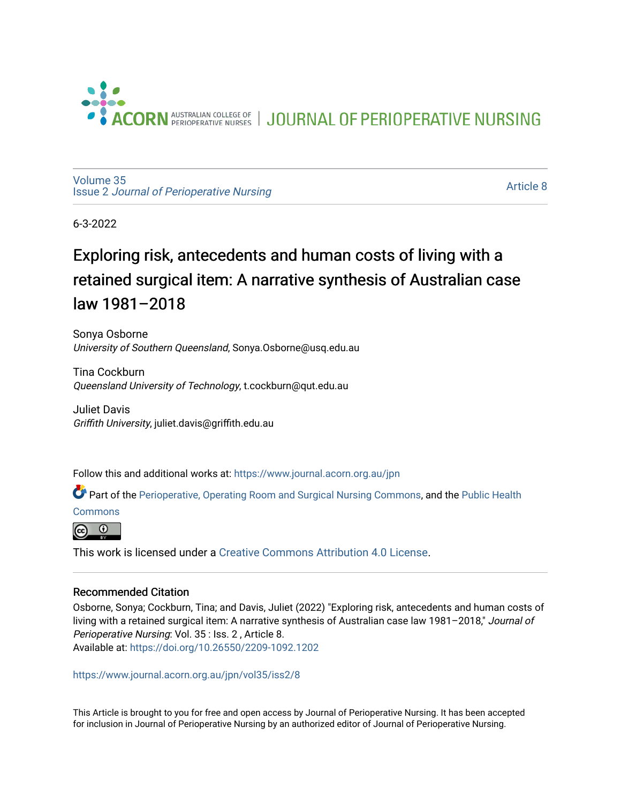

JOURNAL OF PERIOPERATIVE NURSING

[Volume 35](https://www.journal.acorn.org.au/jpn/vol35) Issue 2 [Journal of Perioperative Nursing](https://www.journal.acorn.org.au/jpn/vol35/iss2)

[Article 8](https://www.journal.acorn.org.au/jpn/vol35/iss2/8) 

6-3-2022

# Exploring risk, antecedents and human costs of living with a retained surgical item: A narrative synthesis of Australian case law 1981–2018

Sonya Osborne University of Southern Queensland, Sonya.Osborne@usq.edu.au

Tina Cockburn Queensland University of Technology, t.cockburn@qut.edu.au

Juliet Davis Griffith University, juliet.davis@griffith.edu.au

Follow this and additional works at: [https://www.journal.acorn.org.au/jpn](https://www.journal.acorn.org.au/jpn?utm_source=www.journal.acorn.org.au%2Fjpn%2Fvol35%2Fiss2%2F8&utm_medium=PDF&utm_campaign=PDFCoverPages) 

Part of the [Perioperative, Operating Room and Surgical Nursing Commons](https://network.bepress.com/hgg/discipline/726?utm_source=www.journal.acorn.org.au%2Fjpn%2Fvol35%2Fiss2%2F8&utm_medium=PDF&utm_campaign=PDFCoverPages), and the [Public Health](https://network.bepress.com/hgg/discipline/738?utm_source=www.journal.acorn.org.au%2Fjpn%2Fvol35%2Fiss2%2F8&utm_medium=PDF&utm_campaign=PDFCoverPages)

**[Commons](https://network.bepress.com/hgg/discipline/738?utm_source=www.journal.acorn.org.au%2Fjpn%2Fvol35%2Fiss2%2F8&utm_medium=PDF&utm_campaign=PDFCoverPages)** 



This work is licensed under a [Creative Commons Attribution 4.0 License](https://creativecommons.org/licenses/by/4.0/).

#### Recommended Citation

Osborne, Sonya; Cockburn, Tina; and Davis, Juliet (2022) "Exploring risk, antecedents and human costs of living with a retained surgical item: A narrative synthesis of Australian case law 1981–2018," Journal of Perioperative Nursing: Vol. 35 : Iss. 2 , Article 8. Available at:<https://doi.org/10.26550/2209-1092.1202>

[https://www.journal.acorn.org.au/jpn/vol35/iss2/8](10.26550/2209-1092.1202?utm_source=www.journal.acorn.org.au%2Fjpn%2Fvol35%2Fiss2%2F8&utm_medium=PDF&utm_campaign=PDFCoverPages)

This Article is brought to you for free and open access by Journal of Perioperative Nursing. It has been accepted for inclusion in Journal of Perioperative Nursing by an authorized editor of Journal of Perioperative Nursing.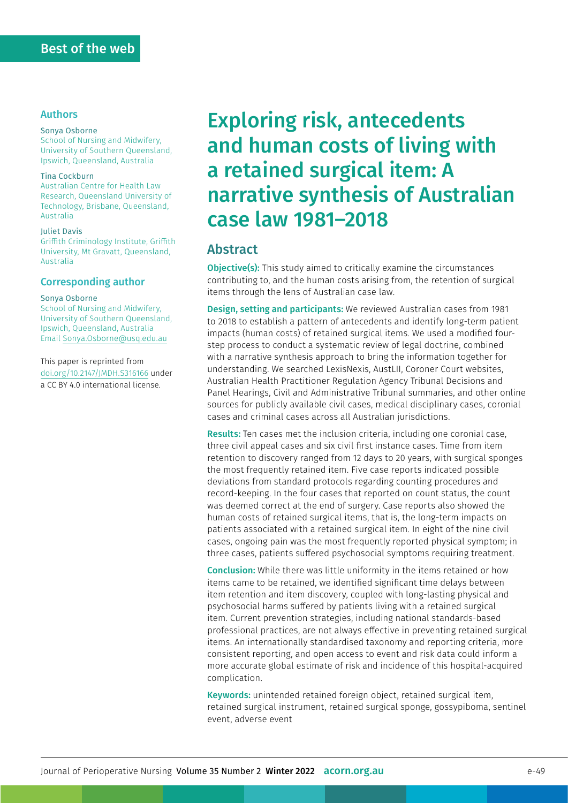#### Authors

#### Sonya Osborne

School of Nursing and Midwifery, University of Southern Queensland, Ipswich, Queensland, Australia

#### Tina Cockburn

Australian Centre for Health Law Research, Queensland University of Technology, Brisbane, Queensland, Australia

#### Juliet Davis

Griffith Criminology Institute, Griffith University, Mt Gravatt, Queensland, Australia

#### Corresponding author

#### Sonya Osborne

School of Nursing and Midwifery, University of Southern Queensland, Ipswich, Queensland, Australia Email [Sonya.Osborne@usq.edu.au](mailto:Sonya.Osborne%40usq.edu.au?subject=)

This paper is reprinted from [doi.org/10.2147/JMDH.S316166](https://doi.org/10.2147/JMDH.S316166) under a [CC BY 4.0](https://creativecommons.org/licenses/by/4.0/) international license.

# Exploring risk, antecedents and human costs of living with a retained surgical item: A narrative synthesis of Australian case law 1981–2018

### Abstract

**Objective(s):** This study aimed to critically examine the circumstances contributing to, and the human costs arising from, the retention of surgical items through the lens of Australian case law.

Design, setting and participants: We reviewed Australian cases from 1981 to 2018 to establish a pattern of antecedents and identify long-term patient impacts (human costs) of retained surgical items. We used a modified fourstep process to conduct a systematic review of legal doctrine, combined with a narrative synthesis approach to bring the information together for understanding. We searched LexisNexis, AustLII, Coroner Court websites, Australian Health Practitioner Regulation Agency Tribunal Decisions and Panel Hearings, Civil and Administrative Tribunal summaries, and other online sources for publicly available civil cases, medical disciplinary cases, coronial cases and criminal cases across all Australian jurisdictions.

Results: Ten cases met the inclusion criteria, including one coronial case, three civil appeal cases and six civil first instance cases. Time from item retention to discovery ranged from 12 days to 20 years, with surgical sponges the most frequently retained item. Five case reports indicated possible deviations from standard protocols regarding counting procedures and record-keeping. In the four cases that reported on count status, the count was deemed correct at the end of surgery. Case reports also showed the human costs of retained surgical items, that is, the long-term impacts on patients associated with a retained surgical item. In eight of the nine civil cases, ongoing pain was the most frequently reported physical symptom; in three cases, patients suffered psychosocial symptoms requiring treatment.

Conclusion: While there was little uniformity in the items retained or how items came to be retained, we identified significant time delays between item retention and item discovery, coupled with long-lasting physical and psychosocial harms suffered by patients living with a retained surgical item. Current prevention strategies, including national standards-based professional practices, are not always effective in preventing retained surgical items. An internationally standardised taxonomy and reporting criteria, more consistent reporting, and open access to event and risk data could inform a more accurate global estimate of risk and incidence of this hospital-acquired complication.

Keywords: unintended retained foreign object, retained surgical item, retained surgical instrument, retained surgical sponge, gossypiboma, sentinel event, adverse event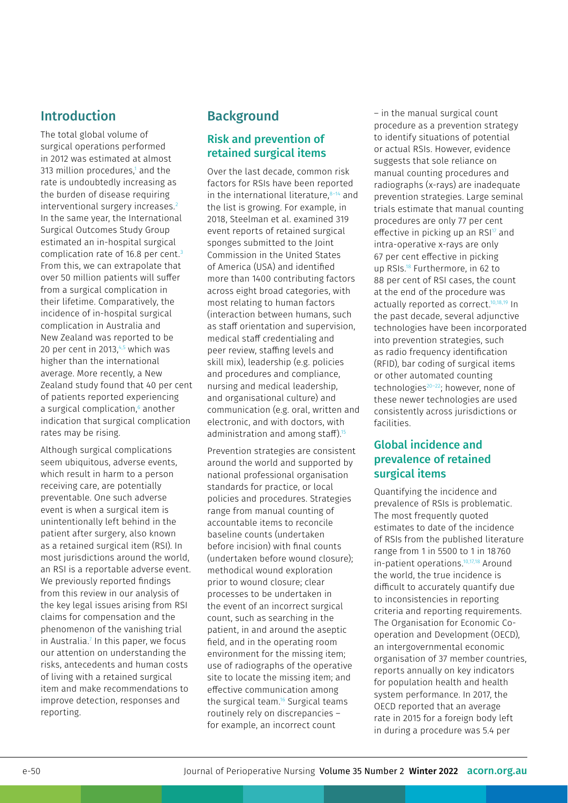# Introduction

The total global volume of surgical operations performed in 2012 was estimated at almost 313 million procedures,<sup>1</sup> and the rate is undoubtedly increasing as the burden of disease requiring interventional surgery increases.<sup>2</sup> In the same year, the International Surgical Outcomes Study Group estimated an in-hospital surgical complication rate of 16.8 per cent. 3 From this, we can extrapolate that over 50 million patients will suffer from a surgical complication in their lifetime. Comparatively, the incidence of in-hospital surgical complication in Australia and New Zealand was reported to be 20 per cent in 2013, $4.5$  which was higher than the international average. More recently, a New Zealand study found that 40 per cent of patients reported experiencing a surgical complication,<sup>6</sup> another indication that surgical complication rates may be rising.

Although surgical complications seem ubiquitous, adverse events, which result in harm to a person receiving care, are potentially preventable. One such adverse event is when a surgical item is unintentionally left behind in the patient after surgery, also known as a retained surgical item (RSI). In most jurisdictions around the world, an RSI is a reportable adverse event. We previously reported findings from this review in our analysis of the key legal issues arising from RSI claims for compensation and the phenomenon of the vanishing trial in Australia.7 In this paper, we focus our attention on understanding the risks, antecedents and human costs of living with a retained surgical item and make recommendations to improve detection, responses and reporting.

# **Background**

### Risk and prevention of retained surgical items

Over the last decade, common risk factors for RSIs have been reported in the international literature, $8-14$  and the list is growing. For example, in 2018, Steelman et al. examined 319 event reports of retained surgical sponges submitted to the Joint Commission in the United States of America (USA) and identified more than 1400 contributing factors across eight broad categories, with most relating to human factors (interaction between humans, such as staff orientation and supervision, medical staff credentialing and peer review, staffing levels and skill mix), leadership (e.g. policies and procedures and compliance, nursing and medical leadership, and organisational culture) and communication (e.g. oral, written and electronic, and with doctors, with administration and among staff).<sup>15</sup>

Prevention strategies are consistent around the world and supported by national professional organisation standards for practice, or local policies and procedures. Strategies range from manual counting of accountable items to reconcile baseline counts (undertaken before incision) with final counts (undertaken before wound closure); methodical wound exploration prior to wound closure; clear processes to be undertaken in the event of an incorrect surgical count, such as searching in the patient, in and around the aseptic field, and in the operating room environment for the missing item; use of radiographs of the operative site to locate the missing item; and effective communication among the surgical team.16 Surgical teams routinely rely on discrepancies – for example, an incorrect count

– in the manual surgical count procedure as a prevention strategy to identify situations of potential or actual RSIs. However, evidence suggests that sole reliance on manual counting procedures and radiographs (x-rays) are inadequate prevention strategies. Large seminal trials estimate that manual counting procedures are only 77 per cent effective in picking up an  $RSI<sup>17</sup>$  and intra-operative x-rays are only 67 per cent effective in picking up RSIs.18 Furthermore, in 62 to 88 per cent of RSI cases, the count at the end of the procedure was actually reported as correct.<sup>10,18,19</sup> In the past decade, several adjunctive technologies have been incorporated into prevention strategies, such as radio frequency identification (RFID), bar coding of surgical items or other automated counting technologies<sup>20-22</sup>; however, none of these newer technologies are used consistently across jurisdictions or facilities.

### Global incidence and prevalence of retained surgical items

Quantifying the incidence and prevalence of RSIs is problematic. The most frequently quoted estimates to date of the incidence of RSIs from the published literature range from 1 in 5500 to 1 in 18760 in-patient operations.<sup>10,17,18</sup> Around the world, the true incidence is difficult to accurately quantify due to inconsistencies in reporting criteria and reporting requirements. The Organisation for Economic Cooperation and Development (OECD), an intergovernmental economic organisation of 37 member countries, reports annually on key indicators for population health and health system performance. In 2017, the OECD reported that an average rate in 2015 for a foreign body left in during a procedure was 5.4 per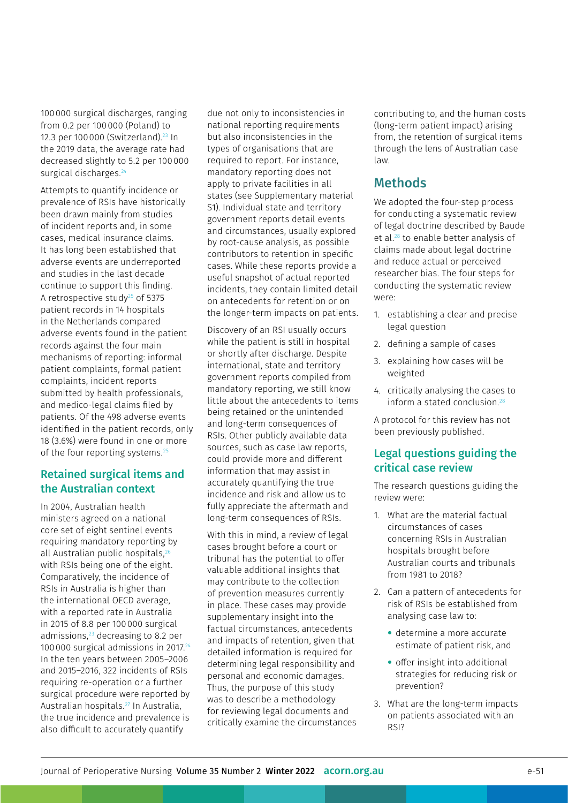100000 surgical discharges, ranging from 0.2 per 100000 (Poland) to 12.3 per 100 000 (Switzerland).<sup>23</sup> In the 2019 data, the average rate had decreased slightly to 5.2 per 100000 surgical discharges.<sup>24</sup>

Attempts to quantify incidence or prevalence of RSIs have historically been drawn mainly from studies of incident reports and, in some cases, medical insurance claims. It has long been established that adverse events are underreported and studies in the last decade continue to support this finding. A retrospective study $25$  of 5375 patient records in 14 hospitals in the Netherlands compared adverse events found in the patient records against the four main mechanisms of reporting: informal patient complaints, formal patient complaints, incident reports submitted by health professionals, and medico-legal claims filed by patients. Of the 498 adverse events identified in the patient records, only 18 (3.6%) were found in one or more of the four reporting systems.<sup>25</sup>

### Retained surgical items and the Australian context

In 2004, Australian health ministers agreed on a national core set of eight sentinel events requiring mandatory reporting by all Australian public hospitals,<sup>26</sup> with RSIs being one of the eight. Comparatively, the incidence of RSIs in Australia is higher than the international OECD average, with a reported rate in Australia in 2015 of 8.8 per 100000 surgical admissions,<sup>23</sup> decreasing to 8.2 per 100000 surgical admissions in 2017.24 In the ten years between 2005–2006 and 2015–2016, 322 incidents of RSIs requiring re-operation or a further surgical procedure were reported by Australian hospitals.27 In Australia, the true incidence and prevalence is also difficult to accurately quantify

due not only to inconsistencies in national reporting requirements but also inconsistencies in the types of organisations that are required to report. For instance, mandatory reporting does not apply to private facilities in all states (see Supplementary material S1). Individual state and territory government reports detail events and circumstances, usually explored by root-cause analysis, as possible contributors to retention in specific cases. While these reports provide a useful snapshot of actual reported incidents, they contain limited detail on antecedents for retention or on the longer-term impacts on patients.

Discovery of an RSI usually occurs while the patient is still in hospital or shortly after discharge. Despite international, state and territory government reports compiled from mandatory reporting, we still know little about the antecedents to items being retained or the unintended and long-term consequences of RSIs. Other publicly available data sources, such as case law reports, could provide more and different information that may assist in accurately quantifying the true incidence and risk and allow us to fully appreciate the aftermath and long-term consequences of RSIs.

With this in mind, a review of legal cases brought before a court or tribunal has the potential to offer valuable additional insights that may contribute to the collection of prevention measures currently in place. These cases may provide supplementary insight into the factual circumstances, antecedents and impacts of retention, given that detailed information is required for determining legal responsibility and personal and economic damages. Thus, the purpose of this study was to describe a methodology for reviewing legal documents and critically examine the circumstances contributing to, and the human costs (long-term patient impact) arising from, the retention of surgical items through the lens of Australian case law.

# Methods

We adopted the four-step process for conducting a systematic review of legal doctrine described by Baude et al.28 to enable better analysis of claims made about legal doctrine and reduce actual or perceived researcher bias. The four steps for conducting the systematic review were:

- 1. establishing a clear and precise legal question
- 2. defining a sample of cases
- 3. explaining how cases will be weighted
- 4. critically analysing the cases to inform a stated conclusion. $28$

A protocol for this review has not been previously published.

### Legal questions guiding the critical case review

The research questions guiding the review were:

- 1. What are the material factual circumstances of cases concerning RSIs in Australian hospitals brought before Australian courts and tribunals from 1981 to 2018?
- 2. Can a pattern of antecedents for risk of RSIs be established from analysing case law to:
	- determine a more accurate estimate of patient risk, and
	- offer insight into additional strategies for reducing risk or prevention?
- 3. What are the long-term impacts on patients associated with an RSI?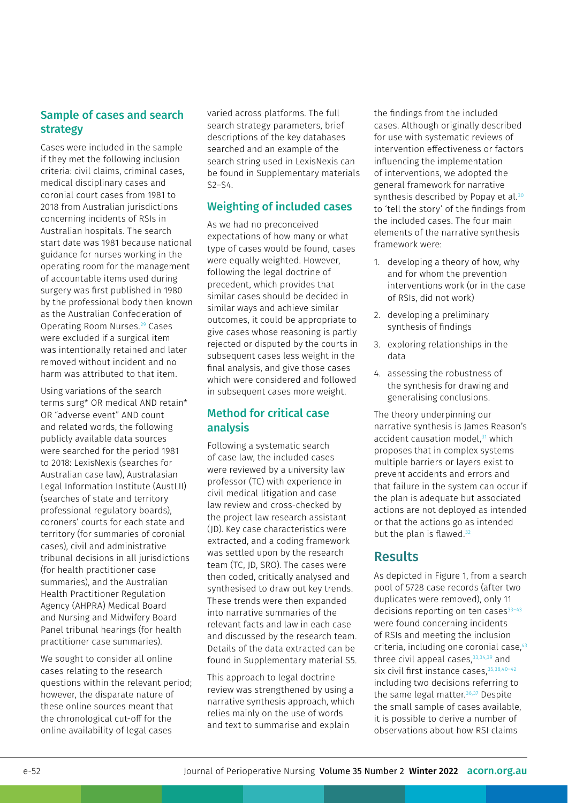### Sample of cases and search strategy

Cases were included in the sample if they met the following inclusion criteria: civil claims, criminal cases, medical disciplinary cases and coronial court cases from 1981 to 2018 from Australian jurisdictions concerning incidents of RSIs in Australian hospitals. The search start date was 1981 because national guidance for nurses working in the operating room for the management of accountable items used during surgery was first published in 1980 by the professional body then known as the Australian Confederation of Operating Room Nurses.29 Cases were excluded if a surgical item was intentionally retained and later removed without incident and no harm was attributed to that item.

Using variations of the search terms surg\* OR medical AND retain\* OR "adverse event" AND count and related words, the following publicly available data sources were searched for the period 1981 to 2018: LexisNexis (searches for Australian case law), Australasian Legal Information Institute (AustLII) (searches of state and territory professional regulatory boards), coroners' courts for each state and territory (for summaries of coronial cases), civil and administrative tribunal decisions in all jurisdictions (for health practitioner case summaries), and the Australian Health Practitioner Regulation Agency (AHPRA) Medical Board and Nursing and Midwifery Board Panel tribunal hearings (for health practitioner case summaries).

We sought to consider all online cases relating to the research questions within the relevant period; however, the disparate nature of these online sources meant that the chronological cut-off for the online availability of legal cases

varied across platforms. The full search strategy parameters, brief descriptions of the key databases searched and an example of the search string used in LexisNexis can be found in Supplementary materials S2–S4.

#### Weighting of included cases

As we had no preconceived expectations of how many or what type of cases would be found, cases were equally weighted. However, following the legal doctrine of precedent, which provides that similar cases should be decided in similar ways and achieve similar outcomes, it could be appropriate to give cases whose reasoning is partly rejected or disputed by the courts in subsequent cases less weight in the final analysis, and give those cases which were considered and followed in subsequent cases more weight.

### Method for critical case analysis

Following a systematic search of case law, the included cases were reviewed by a university law professor (TC) with experience in civil medical litigation and case law review and cross-checked by the project law research assistant (JD). Key case characteristics were extracted, and a coding framework was settled upon by the research team (TC, JD, SRO). The cases were then coded, critically analysed and synthesised to draw out key trends. These trends were then expanded into narrative summaries of the relevant facts and law in each case and discussed by the research team. Details of the data extracted can be found in Supplementary material S5.

This approach to legal doctrine review was strengthened by using a narrative synthesis approach, which relies mainly on the use of words and text to summarise and explain

the findings from the included cases. Although originally described for use with systematic reviews of intervention effectiveness or factors influencing the implementation of interventions, we adopted the general framework for narrative synthesis described by Popay et al.<sup>30</sup> to 'tell the story' of the findings from the included cases. The four main elements of the narrative synthesis framework were:

- 1. developing a theory of how, why and for whom the prevention interventions work (or in the case of RSIs, did not work)
- 2. developing a preliminary synthesis of findings
- 3. exploring relationships in the data
- 4. assessing the robustness of the synthesis for drawing and generalising conclusions.

The theory underpinning our narrative synthesis is James Reason's accident causation model,<sup>31</sup> which proposes that in complex systems multiple barriers or layers exist to prevent accidents and errors and that failure in the system can occur if the plan is adequate but associated actions are not deployed as intended or that the actions go as intended but the plan is flawed.<sup>32</sup>

# Results

As depicted in Figure 1, from a search pool of 5728 case records (after two duplicates were removed), only 11 decisions reporting on ten cases $33-43$ were found concerning incidents of RSIs and meeting the inclusion criteria, including one coronial case,<sup>43</sup> three civil appeal cases, $33,34,39$  and six civil first instance cases, 35,38,40-42 including two decisions referring to the same legal matter.<sup>36,37</sup> Despite the small sample of cases available, it is possible to derive a number of observations about how RSI claims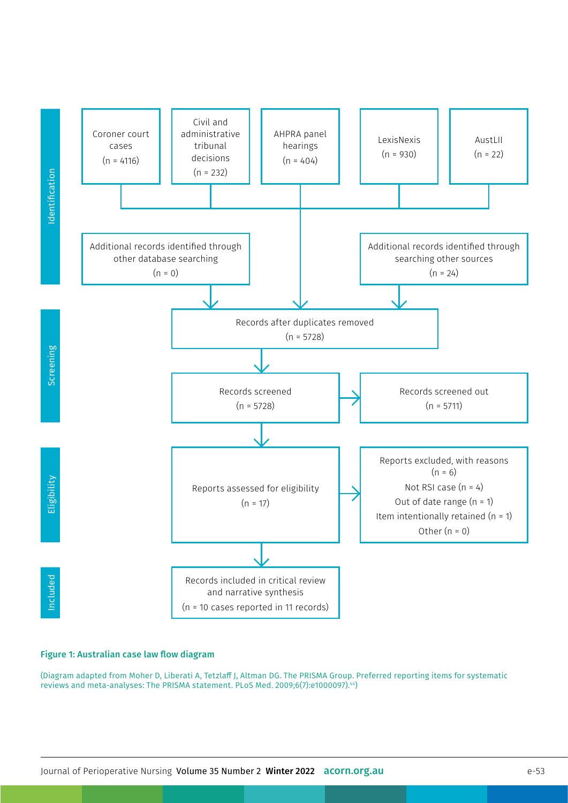

#### Figure 1: Australian case law flow diagram

(Diagram adapted from Moher D, Liberati A, Tetzlaff J, Altman DG. The PRISMA Group. Preferred reporting items for systematic<br>reviews and meta-analyses: The PRISMA statement. PLoS Med. 2009;6(7):e1000097).<sup>44</sup>)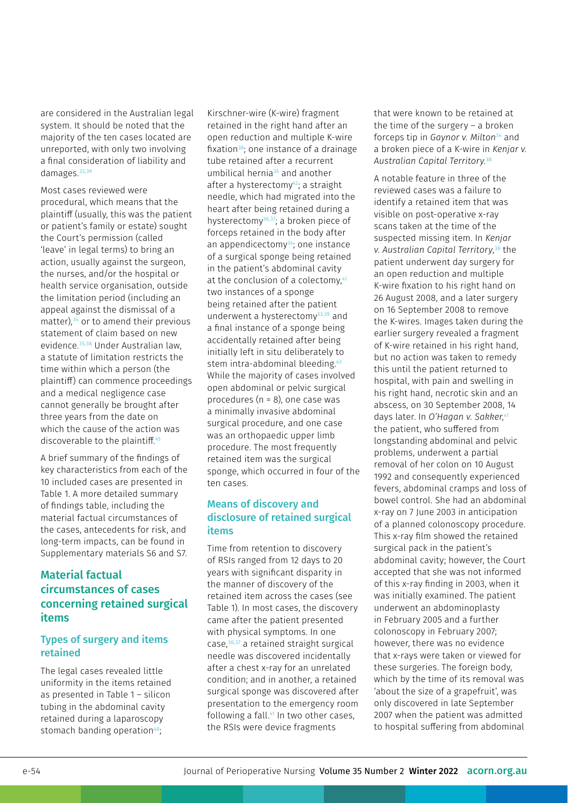are considered in the Australian legal system. It should be noted that the majority of the ten cases located are unreported, with only two involving a final consideration of liability and damages.<sup>33,39</sup>

Most cases reviewed were procedural, which means that the plaintiff (usually, this was the patient or patient's family or estate) sought the Court's permission (called 'leave' in legal terms) to bring an action, usually against the surgeon, the nurses, and/or the hospital or health service organisation, outside the limitation period (including an appeal against the dismissal of a matter),<sup>34</sup> or to amend their previous statement of claim based on new evidence.35,38 Under Australian law, a statute of limitation restricts the time within which a person (the plaintiff) can commence proceedings and a medical negligence case cannot generally be brought after three years from the date on which the cause of the action was discoverable to the plaintiff.<sup>45</sup>

A brief summary of the findings of key characteristics from each of the 10 included cases are presented in Table 1. A more detailed summary of findings table, including the material factual circumstances of the cases, antecedents for risk, and long-term impacts, can be found in Supplementary materials S6 and S7.

### Material factual circumstances of cases concerning retained surgical items

#### Types of surgery and items retained

The legal cases revealed little uniformity in the items retained as presented in Table 1 – silicon tubing in the abdominal cavity retained during a laparoscopy stomach banding operation<sup>40</sup>;

Kirschner-wire (K-wire) fragment retained in the right hand after an open reduction and multiple K-wire fixation<sup>38</sup>; one instance of a drainage tube retained after a recurrent umbilical hernia<sup>35</sup> and another after a hysterectomy<sup>42</sup>; a straight needle, which had migrated into the heart after being retained during a hysterectomy<sup>36,37</sup>; a broken piece of forceps retained in the body after an appendicectomy<sup>34</sup>; one instance of a surgical sponge being retained in the patient's abdominal cavity at the conclusion of a colectomy,<sup>41</sup> two instances of a sponge being retained after the patient underwent a hysterectomy<sup>33,39</sup> and a final instance of a sponge being accidentally retained after being initially left in situ deliberately to stem intra-abdominal bleeding.<sup>43</sup> While the majority of cases involved open abdominal or pelvic surgical procedures (n = 8), one case was a minimally invasive abdominal surgical procedure, and one case was an orthopaedic upper limb procedure. The most frequently retained item was the surgical sponge, which occurred in four of the ten cases.

#### Means of discovery and disclosure of retained surgical items

Time from retention to discovery of RSIs ranged from 12 days to 20 years with significant disparity in the manner of discovery of the retained item across the cases (see Table 1). In most cases, the discovery came after the patient presented with physical symptoms. In one case,36,37 a retained straight surgical needle was discovered incidentally after a chest x-ray for an unrelated condition; and in another, a retained surgical sponge was discovered after presentation to the emergency room following a fall.<sup>41</sup> In two other cases, the RSIs were device fragments

that were known to be retained at the time of the surgery – a broken forceps tip in *Gaynor v. Milton*34 and a broken piece of a K-wire in *Kenjar v. Australian Capital Territory.*<sup>38</sup>

A notable feature in three of the reviewed cases was a failure to identify a retained item that was visible on post-operative x-ray scans taken at the time of the suspected missing item. In *Kenjar v. Australian Capital Territory*, 38 the patient underwent day surgery for an open reduction and multiple K-wire fixation to his right hand on 26 August 2008, and a later surgery on 16 September 2008 to remove the K-wires. Images taken during the earlier surgery revealed a fragment of K-wire retained in his right hand, but no action was taken to remedy this until the patient returned to hospital, with pain and swelling in his right hand, necrotic skin and an abscess, on 30 September 2008, 14 days later. In *O'Hagan v. Sakker*, 41 the patient, who suffered from longstanding abdominal and pelvic problems, underwent a partial removal of her colon on 10 August 1992 and consequently experienced fevers, abdominal cramps and loss of bowel control. She had an abdominal x-ray on 7 June 2003 in anticipation of a planned colonoscopy procedure. This x-ray film showed the retained surgical pack in the patient's abdominal cavity; however, the Court accepted that she was not informed of this x-ray finding in 2003, when it was initially examined. The patient underwent an abdominoplasty in February 2005 and a further colonoscopy in February 2007; however, there was no evidence that x-rays were taken or viewed for these surgeries. The foreign body, which by the time of its removal was 'about the size of a grapefruit', was only discovered in late September 2007 when the patient was admitted to hospital suffering from abdominal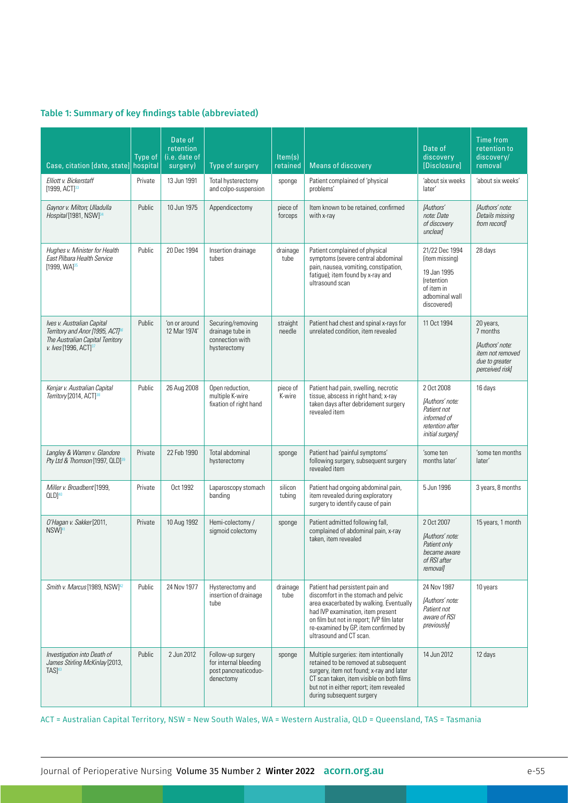#### Table 1: Summary of key findings table (abbreviated)

| Case, citation [date, state] hospital                                                                                                               | Type of | Date of<br>retention<br>(i.e. date of<br>surgery) | Type of surgery                                                                 | Item(s)<br>retained | <b>Means of discovery</b>                                                                                                                                                                                                                                               | Date of<br>discovery<br>[Disclosure]                                                                                 | Time from<br>retention to<br>discovery/<br>removal                                                |
|-----------------------------------------------------------------------------------------------------------------------------------------------------|---------|---------------------------------------------------|---------------------------------------------------------------------------------|---------------------|-------------------------------------------------------------------------------------------------------------------------------------------------------------------------------------------------------------------------------------------------------------------------|----------------------------------------------------------------------------------------------------------------------|---------------------------------------------------------------------------------------------------|
| Elliott v. Bickerstaff<br>[1999, ACT] <sup>33</sup>                                                                                                 | Private | 13 Jun 1991                                       | Total hysterectomy<br>and colpo-suspension                                      | sponge              | Patient complained of 'physical<br>problems'                                                                                                                                                                                                                            | 'about six weeks<br>later'                                                                                           | 'about six weeks'                                                                                 |
| Gaynor v. Milton; Ulladulla<br>Hospital [1981, NSW] <sup>34</sup>                                                                                   | Public  | 10 Jun 1975                                       | Appendicectomy                                                                  | piece of<br>forceps | Item known to be retained, confirmed<br>with x-ray                                                                                                                                                                                                                      | [Authors'<br>note: Date<br>of discovery<br>unclearl                                                                  | [Authors' note:<br>Details missing<br>from record]                                                |
| Hughes v. Minister for Health<br>East Pilbara Health Service<br>$[1999, WA]^{35}$                                                                   | Public  | 20 Dec 1994                                       | Insertion drainage<br>tubes                                                     | drainage<br>tube    | Patient complained of physical<br>symptoms (severe central abdominal<br>pain, nausea, vomiting, constipation,<br>fatigue); item found by x-ray and<br>ultrasound scan                                                                                                   | 21/22 Dec 1994<br>(item missing)<br>19 Jan 1995<br><i>(retention)</i><br>of item in<br>adbominal wall<br>discovered) | 28 days                                                                                           |
| Ives v. Australian Capital<br>Territory and Anor [1995, ACT] <sup>86</sup><br>The Australian Capital Territory<br>v. Ives [1996, ACT] <sup>37</sup> | Public  | 'on or around<br>12 Mar 1974'                     | Securing/removing<br>drainage tube in<br>connection with<br>hysterectomy        | straight<br>needle  | Patient had chest and spinal x-rays for<br>unrelated condition, item revealed                                                                                                                                                                                           | 11 Oct 1994                                                                                                          | 20 years,<br>7 months<br>[Authors' note:<br>item not removed<br>due to greater<br>perceived risk] |
| Kenjar v. Australian Capital<br>Territory [2014, ACT] <sup>38</sup>                                                                                 | Public  | 26 Aug 2008                                       | Open reduction,<br>multiple K-wire<br>fixation of right hand                    | piece of<br>K-wire  | Patient had pain, swelling, necrotic<br>tissue, abscess in right hand; x-ray<br>taken days after debridement surgery<br>revealed item                                                                                                                                   | 2 Oct 2008<br>[Authors' note:<br>Patient not<br>informed of<br>retention after<br>initial surgery]                   | 16 days                                                                                           |
| Langley & Warren v. Glandore<br>Pty Ltd & Thomson [1997, QLD] <sup>39</sup>                                                                         | Private | 22 Feb 1990                                       | Total abdominal<br>hysterectomy                                                 | sponge              | Patient had 'painful symptoms'<br>following surgery, subsequent surgery<br>revealed item                                                                                                                                                                                | 'some ten<br>months later'                                                                                           | 'some ten months<br>later'                                                                        |
| Miller v. Broadbent [1999,<br>$QLD ^{40}$                                                                                                           | Private | Oct 1992                                          | Laparoscopy stomach<br>banding                                                  | silicon<br>tubing   | Patient had ongoing abdominal pain,<br>item revealed during exploratory<br>surgery to identify cause of pain                                                                                                                                                            | 5 Jun 1996                                                                                                           | 3 years, 8 months                                                                                 |
| O'Hagan v. Sakker [2011,<br>NSW <sup>141</sup>                                                                                                      | Private | 10 Aug 1992                                       | Hemi-colectomy /<br>sigmoid colectomy                                           | sponge              | Patient admitted following fall,<br>complained of abdominal pain, x-ray<br>taken, item revealed                                                                                                                                                                         | 2 Oct 2007<br>[Authors' note:<br>Patient only<br>became aware<br>of RSI after<br><i>removal]</i>                     | 15 years, 1 month                                                                                 |
| Smith v. Marcus [1989, NSW] <sup>42</sup>                                                                                                           | Public  | 24 Nov 1977                                       | Hysterectomy and<br>insertion of drainage<br>tube                               | drainage<br>tube    | Patient had persistent pain and<br>discomfort in the stomach and pelvic<br>area exacerbated by walking. Eventually<br>had IVP examination, item present<br>on film but not in report; IVP film later<br>re-examined by GP, item confirmed by<br>ultrasound and CT scan. | 24 Nov 1987<br>[Authors' note:<br>Patient not<br>aware of RSI<br>previously]                                         | 10 years                                                                                          |
| Investigation into Death of<br>James Stirling McKinlay [2013,<br>TAS <sup>43</sup>                                                                  | Public  | 2 Jun 2012                                        | Follow-up surgery<br>for internal bleeding<br>post pancreaticoduo-<br>denectomy | sponge              | Multiple surgeries: item intentionally<br>retained to be removed at subsequent<br>surgery, item not found; x-ray and later<br>CT scan taken, item visible on both films<br>but not in either report; item revealed<br>during subsequent surgery                         | 14 Jun 2012                                                                                                          | 12 days                                                                                           |

ACT = Australian Capital Territory, NSW = New South Wales, WA = Western Australia, QLD = Queensland, TAS = Tasmania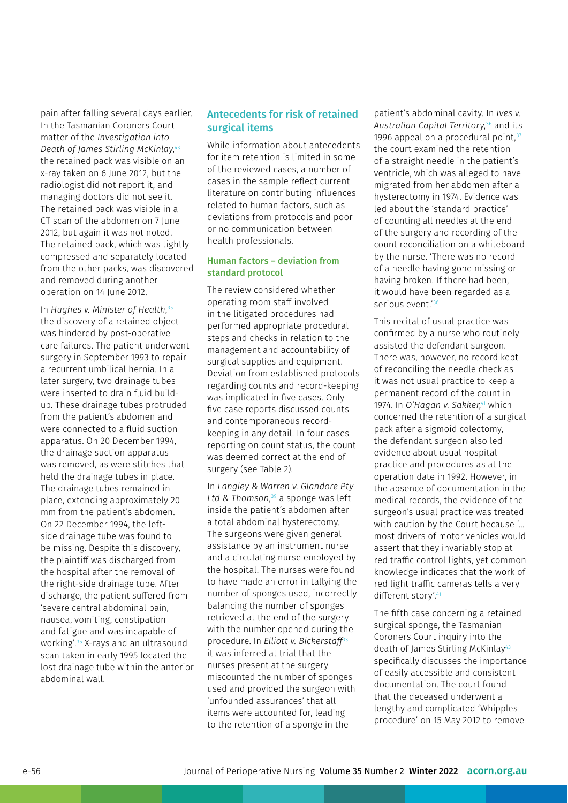pain after falling several days earlier. In the Tasmanian Coroners Court matter of the *Investigation into Death of James Stirling McKinlay*, 43 the retained pack was visible on an x-ray taken on 6 June 2012, but the radiologist did not report it, and managing doctors did not see it. The retained pack was visible in a CT scan of the abdomen on 7 June 2012, but again it was not noted. The retained pack, which was tightly compressed and separately located from the other packs, was discovered and removed during another operation on 14 June 2012.

In *Hughes v. Minister of Health*, 35 the discovery of a retained object was hindered by post-operative care failures. The patient underwent surgery in September 1993 to repair a recurrent umbilical hernia. In a later surgery, two drainage tubes were inserted to drain fluid buildup. These drainage tubes protruded from the patient's abdomen and were connected to a fluid suction apparatus. On 20 December 1994, the drainage suction apparatus was removed, as were stitches that held the drainage tubes in place. The drainage tubes remained in place, extending approximately 20 mm from the patient's abdomen. On 22 December 1994, the leftside drainage tube was found to be missing. Despite this discovery, the plaintiff was discharged from the hospital after the removal of the right-side drainage tube. After discharge, the patient suffered from 'severe central abdominal pain, nausea, vomiting, constipation and fatigue and was incapable of working'.35 X-rays and an ultrasound scan taken in early 1995 located the lost drainage tube within the anterior abdominal wall.

#### Antecedents for risk of retained surgical items

While information about antecedents for item retention is limited in some of the reviewed cases, a number of cases in the sample reflect current literature on contributing influences related to human factors, such as deviations from protocols and poor or no communication between health professionals.

#### Human factors – deviation from standard protocol

The review considered whether operating room staff involved in the litigated procedures had performed appropriate procedural steps and checks in relation to the management and accountability of surgical supplies and equipment. Deviation from established protocols regarding counts and record-keeping was implicated in five cases. Only five case reports discussed counts and contemporaneous recordkeeping in any detail. In four cases reporting on count status, the count was deemed correct at the end of surgery (see Table 2).

In *Langley & Warren v. Glandore Pty Ltd & Thomson*, 39 a sponge was left inside the patient's abdomen after a total abdominal hysterectomy. The surgeons were given general assistance by an instrument nurse and a circulating nurse employed by the hospital. The nurses were found to have made an error in tallying the number of sponges used, incorrectly balancing the number of sponges retrieved at the end of the surgery with the number opened during the procedure. In *Elliott v. Bickerstaff*<sup>33</sup> it was inferred at trial that the nurses present at the surgery miscounted the number of sponges used and provided the surgeon with 'unfounded assurances' that all items were accounted for, leading to the retention of a sponge in the

patient's abdominal cavity. In *Ives v. Australian Capital Territory*, 36 and its 1996 appeal on a procedural point. $37$ the court examined the retention of a straight needle in the patient's ventricle, which was alleged to have migrated from her abdomen after a hysterectomy in 1974. Evidence was led about the 'standard practice' of counting all needles at the end of the surgery and recording of the count reconciliation on a whiteboard by the nurse. 'There was no record of a needle having gone missing or having broken. If there had been, it would have been regarded as a serious event.'36

This recital of usual practice was confirmed by a nurse who routinely assisted the defendant surgeon. There was, however, no record kept of reconciling the needle check as it was not usual practice to keep a permanent record of the count in 1974. In *O'Hagan v. Sakker*, 41 which concerned the retention of a surgical pack after a sigmoid colectomy, the defendant surgeon also led evidence about usual hospital practice and procedures as at the operation date in 1992. However, in the absence of documentation in the medical records, the evidence of the surgeon's usual practice was treated with caution by the Court because '… most drivers of motor vehicles would assert that they invariably stop at red traffic control lights, yet common knowledge indicates that the work of red light traffic cameras tells a very different story'.41

The fifth case concerning a retained surgical sponge, the Tasmanian Coroners Court inquiry into the death of James Stirling McKinlay<sup>43</sup> specifically discusses the importance of easily accessible and consistent documentation. The court found that the deceased underwent a lengthy and complicated 'Whipples procedure' on 15 May 2012 to remove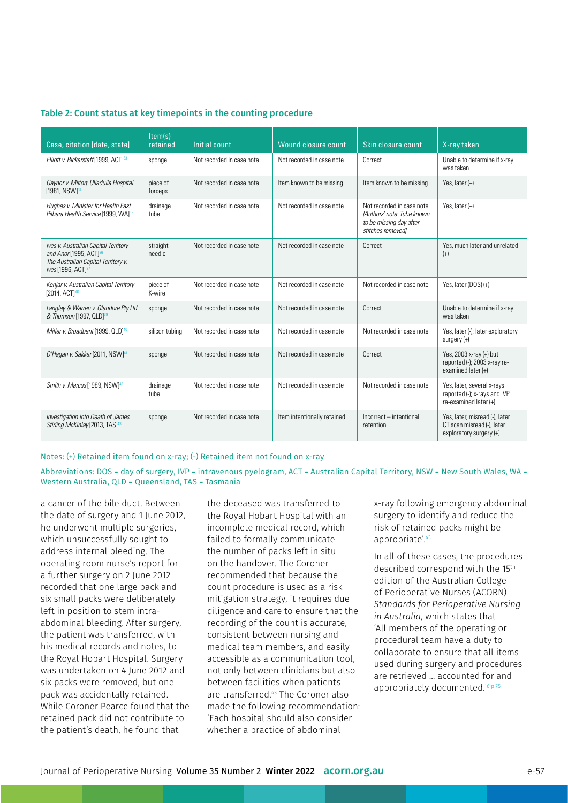| Case, citation [date, state]                                                                                                                        | $\overline{\text{Item}}(s)$<br>retained | Initial count             | Wound closure count         | Skin closure count                                                                                      | X-ray taken                                                                             |
|-----------------------------------------------------------------------------------------------------------------------------------------------------|-----------------------------------------|---------------------------|-----------------------------|---------------------------------------------------------------------------------------------------------|-----------------------------------------------------------------------------------------|
| Elliott v. Bickerstaff [1999, ACT] <sup>33</sup>                                                                                                    | sponge                                  | Not recorded in case note | Not recorded in case note   | Correct                                                                                                 | Unable to determine if x-ray<br>was taken                                               |
| Gaynor v. Milton; Ulladulla Hospital<br>$[1981, NSW]^{34}$                                                                                          | piece of<br>forceps                     | Not recorded in case note | Item known to be missing    | Item known to be missing                                                                                | Yes, later $(+)$                                                                        |
| Hughes v. Minister for Health East<br>Pilbara Health Service [1999, WA] <sup>35</sup>                                                               | drainage<br>tube                        | Not recorded in case note | Not recorded in case note   | Not recorded in case note<br>[Authors' note: Tube known<br>to be missing day after<br>stitches removed] | Yes. later $(+)$                                                                        |
| Ives v. Australian Capital Territory<br>and Anor [1995, ACT] <sup>36</sup><br>The Australian Capital Territory v.<br>Ives [1996, ACT] <sup>37</sup> | straight<br>needle                      | Not recorded in case note | Not recorded in case note   | Correct                                                                                                 | Yes, much later and unrelated<br>$(+)$                                                  |
| Kenjar v. Australian Capital Territory<br>[2014, ACT] <sup>38</sup>                                                                                 | piece of<br>K-wire                      | Not recorded in case note | Not recorded in case note   | Not recorded in case note                                                                               | Yes, later $(DOS)(+)$                                                                   |
| Langley & Warren v. Glandore Pty Ltd<br>& Thomson [1997, QLD] <sup>39</sup>                                                                         | sponge                                  | Not recorded in case note | Not recorded in case note   | Correct                                                                                                 | Unable to determine if x-ray<br>was taken                                               |
| Miller v. Broadbent [1999, QLD] <sup>40</sup>                                                                                                       | silicon tubing                          | Not recorded in case note | Not recorded in case note   | Not recorded in case note                                                                               | Yes, later (-); later exploratory<br>surgery $(+)$                                      |
| O'Hagan v. Sakker [2011, NSW] <sup>41</sup>                                                                                                         | sponge                                  | Not recorded in case note | Not recorded in case note   | Correct                                                                                                 | Yes, 2003 x-ray (+) but<br>reported (-); 2003 x-ray re-<br>examined later $(+)$         |
| Smith v. Marcus [1989, NSW] <sup>42</sup>                                                                                                           | drainage<br>tube                        | Not recorded in case note | Not recorded in case note   | Not recorded in case note                                                                               | Yes, later, several x-rays<br>reported (-); x-rays and IVP<br>re-examined later $(+)$   |
| Investigation into Death of James<br>Stirling McKinlay [2013, TAS] <sup>43</sup>                                                                    | sponge                                  | Not recorded in case note | Item intentionally retained | Incorrect - intentional<br>retention                                                                    | Yes, later, misread (-); later<br>CT scan misread (-); later<br>exploratory surgery (+) |

#### Table 2: Count status at key timepoints in the counting procedure

Notes: (+) Retained item found on x-ray; (-) Retained item not found on x-ray

Abbreviations: DOS = day of surgery, IVP = intravenous pyelogram, ACT = Australian Capital Territory, NSW = New South Wales, WA = Western Australia, QLD = Queensland, TAS = Tasmania

a cancer of the bile duct. Between the date of surgery and 1 June 2012, he underwent multiple surgeries, which unsuccessfully sought to address internal bleeding. The operating room nurse's report for a further surgery on 2 June 2012 recorded that one large pack and six small packs were deliberately left in position to stem intraabdominal bleeding. After surgery, the patient was transferred, with his medical records and notes, to the Royal Hobart Hospital. Surgery was undertaken on 4 June 2012 and six packs were removed, but one pack was accidentally retained. While Coroner Pearce found that the retained pack did not contribute to the patient's death, he found that

the deceased was transferred to the Royal Hobart Hospital with an incomplete medical record, which failed to formally communicate the number of packs left in situ on the handover. The Coroner recommended that because the count procedure is used as a risk mitigation strategy, it requires due diligence and care to ensure that the recording of the count is accurate, consistent between nursing and medical team members, and easily accessible as a communication tool, not only between clinicians but also between facilities when patients are transferred.43 The Coroner also made the following recommendation: 'Each hospital should also consider whether a practice of abdominal

x-ray following emergency abdominal surgery to identify and reduce the risk of retained packs might be appropriate'.<sup>43</sup>

In all of these cases, the procedures described correspond with the 15<sup>th</sup> edition of the Australian College of Perioperative Nurses (ACORN) *Standards for Perioperative Nursing in Australia*, which states that 'All members of the operating or procedural team have a duty to collaborate to ensure that all items used during surgery and procedures are retrieved … accounted for and appropriately documented.<sup>16 p.75</sup>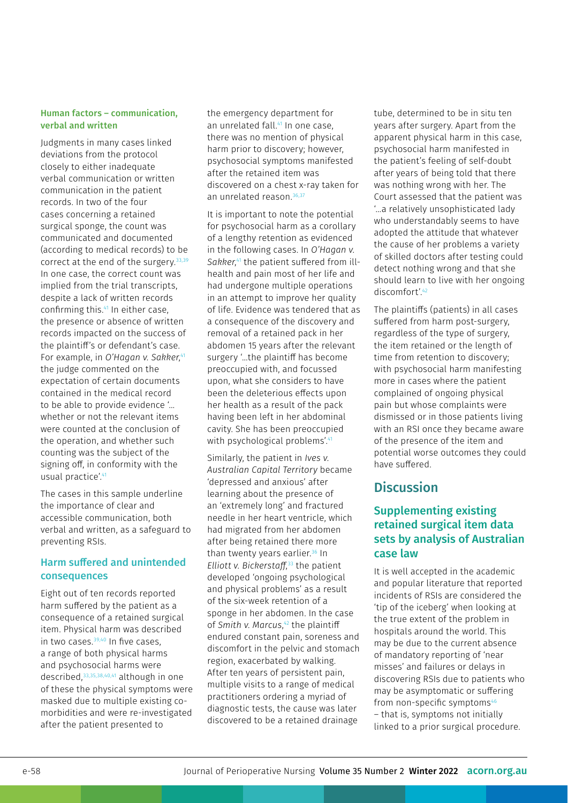#### Human factors – communication, verbal and written

Judgments in many cases linked deviations from the protocol closely to either inadequate verbal communication or written communication in the patient records. In two of the four cases concerning a retained surgical sponge, the count was communicated and documented (according to medical records) to be correct at the end of the surgery.<sup>33,39</sup> In one case, the correct count was implied from the trial transcripts, despite a lack of written records confirming this.41 In either case, the presence or absence of written records impacted on the success of the plaintiff's or defendant's case. For example, in *O'Hagan v. Sakker*, 41 the judge commented on the expectation of certain documents contained in the medical record to be able to provide evidence '… whether or not the relevant items were counted at the conclusion of the operation, and whether such counting was the subject of the signing off, in conformity with the usual practice'.<sup>41</sup>

The cases in this sample underline the importance of clear and accessible communication, both verbal and written, as a safeguard to preventing RSIs.

#### Harm suffered and unintended consequences

Eight out of ten records reported harm suffered by the patient as a consequence of a retained surgical item. Physical harm was described in two cases. $39,40$  In five cases. a range of both physical harms and psychosocial harms were described,33,35,38,40,41 although in one of these the physical symptoms were masked due to multiple existing comorbidities and were re-investigated after the patient presented to

the emergency department for an unrelated fall.<sup>41</sup> In one case, there was no mention of physical harm prior to discovery; however, psychosocial symptoms manifested after the retained item was discovered on a chest x-ray taken for an unrelated reason.36,37

It is important to note the potential for psychosocial harm as a corollary of a lengthy retention as evidenced in the following cases. In *O'Hagan v. Sakker*, 41 the patient suffered from illhealth and pain most of her life and had undergone multiple operations in an attempt to improve her quality of life. Evidence was tendered that as a consequence of the discovery and removal of a retained pack in her abdomen 15 years after the relevant surgery '…the plaintiff has become preoccupied with, and focussed upon, what she considers to have been the deleterious effects upon her health as a result of the pack having been left in her abdominal cavity. She has been preoccupied with psychological problems'.<sup>41</sup>

Similarly, the patient in *Ives v. Australian Capital Territory* became 'depressed and anxious' after learning about the presence of an 'extremely long' and fractured needle in her heart ventricle, which had migrated from her abdomen after being retained there more than twenty years earlier.<sup>36</sup> In *Elliott v. Bickerstaff*, 33 the patient developed 'ongoing psychological and physical problems' as a result of the six-week retention of a sponge in her abdomen. In the case of *Smith v. Marcus*, 42 the plaintiff endured constant pain, soreness and discomfort in the pelvic and stomach region, exacerbated by walking. After ten years of persistent pain, multiple visits to a range of medical practitioners ordering a myriad of diagnostic tests, the cause was later discovered to be a retained drainage

tube, determined to be in situ ten years after surgery. Apart from the apparent physical harm in this case, psychosocial harm manifested in the patient's feeling of self-doubt after years of being told that there was nothing wrong with her. The Court assessed that the patient was '…a relatively unsophisticated lady who understandably seems to have adopted the attitude that whatever the cause of her problems a variety of skilled doctors after testing could detect nothing wrong and that she should learn to live with her ongoing discomfort'.42

The plaintiffs (patients) in all cases suffered from harm post-surgery, regardless of the type of surgery, the item retained or the length of time from retention to discovery; with psychosocial harm manifesting more in cases where the patient complained of ongoing physical pain but whose complaints were dismissed or in those patients living with an RSI once they became aware of the presence of the item and potential worse outcomes they could have suffered.

### **Discussion**

### Supplementing existing retained surgical item data sets by analysis of Australian case law

It is well accepted in the academic and popular literature that reported incidents of RSIs are considered the 'tip of the iceberg' when looking at the true extent of the problem in hospitals around the world. This may be due to the current absence of mandatory reporting of 'near misses' and failures or delays in discovering RSIs due to patients who may be asymptomatic or suffering from non-specific symptoms<sup>46</sup> – that is, symptoms not initially linked to a prior surgical procedure.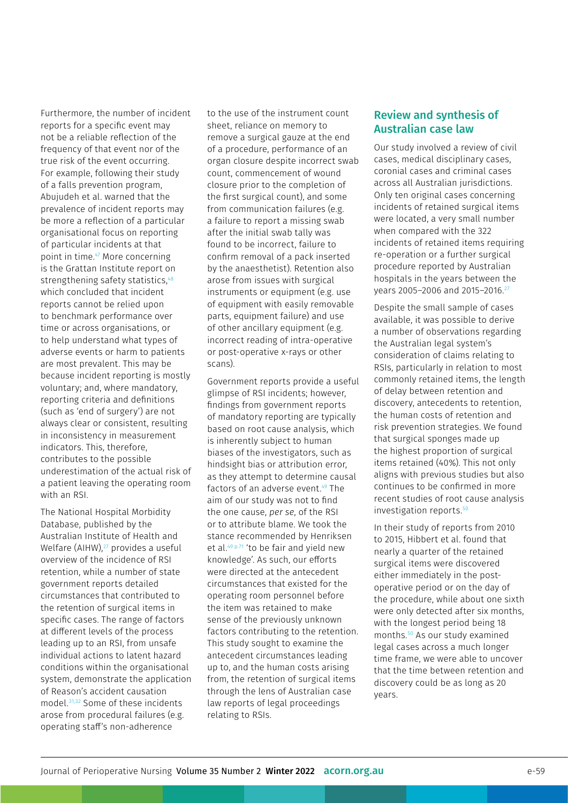Furthermore, the number of incident reports for a specific event may not be a reliable reflection of the frequency of that event nor of the true risk of the event occurring. For example, following their study of a falls prevention program, Abujudeh et al. warned that the prevalence of incident reports may be more a reflection of a particular organisational focus on reporting of particular incidents at that point in time.47 More concerning is the Grattan Institute report on strengthening safety statistics, 48 which concluded that incident reports cannot be relied upon to benchmark performance over time or across organisations, or to help understand what types of adverse events or harm to patients are most prevalent. This may be because incident reporting is mostly voluntary; and, where mandatory, reporting criteria and definitions (such as 'end of surgery') are not always clear or consistent, resulting in inconsistency in measurement indicators. This, therefore, contributes to the possible underestimation of the actual risk of a patient leaving the operating room with an RSI.

The National Hospital Morbidity Database, published by the Australian Institute of Health and Welfare  $(AIHW)$ ,<sup>27</sup> provides a useful overview of the incidence of RSI retention, while a number of state government reports detailed circumstances that contributed to the retention of surgical items in specific cases. The range of factors at different levels of the process leading up to an RSI, from unsafe individual actions to latent hazard conditions within the organisational system, demonstrate the application of Reason's accident causation model.31,32 Some of these incidents arose from procedural failures (e.g. operating staff's non-adherence

to the use of the instrument count sheet, reliance on memory to remove a surgical gauze at the end of a procedure, performance of an organ closure despite incorrect swab count, commencement of wound closure prior to the completion of the first surgical count), and some from communication failures (e.g. a failure to report a missing swab after the initial swab tally was found to be incorrect, failure to confirm removal of a pack inserted by the anaesthetist). Retention also arose from issues with surgical instruments or equipment (e.g. use of equipment with easily removable parts, equipment failure) and use of other ancillary equipment (e.g. incorrect reading of intra-operative or post-operative x-rays or other scans).

Government reports provide a useful glimpse of RSI incidents; however, findings from government reports of mandatory reporting are typically based on root cause analysis, which is inherently subject to human biases of the investigators, such as hindsight bias or attribution error, as they attempt to determine causal factors of an adverse event.<sup>49</sup> The aim of our study was not to find the one cause, *per se*, of the RSI or to attribute blame. We took the stance recommended by Henriksen et al.<sup>49 p.71</sup> 'to be fair and yield new knowledge'. As such, our efforts were directed at the antecedent circumstances that existed for the operating room personnel before the item was retained to make sense of the previously unknown factors contributing to the retention. This study sought to examine the antecedent circumstances leading up to, and the human costs arising from, the retention of surgical items through the lens of Australian case law reports of legal proceedings relating to RSIs.

### Review and synthesis of Australian case law

Our study involved a review of civil cases, medical disciplinary cases, coronial cases and criminal cases across all Australian jurisdictions. Only ten original cases concerning incidents of retained surgical items were located, a very small number when compared with the 322 incidents of retained items requiring re-operation or a further surgical procedure reported by Australian hospitals in the years between the years 2005–2006 and 2015–2016.27

Despite the small sample of cases available, it was possible to derive a number of observations regarding the Australian legal system's consideration of claims relating to RSIs, particularly in relation to most commonly retained items, the length of delay between retention and discovery, antecedents to retention, the human costs of retention and risk prevention strategies. We found that surgical sponges made up the highest proportion of surgical items retained (40%). This not only aligns with previous studies but also continues to be confirmed in more recent studies of root cause analysis investigation reports.<sup>50</sup>

In their study of reports from 2010 to 2015, Hibbert et al. found that nearly a quarter of the retained surgical items were discovered either immediately in the postoperative period or on the day of the procedure, while about one sixth were only detected after six months, with the longest period being 18 months.50 As our study examined legal cases across a much longer time frame, we were able to uncover that the time between retention and discovery could be as long as 20 years.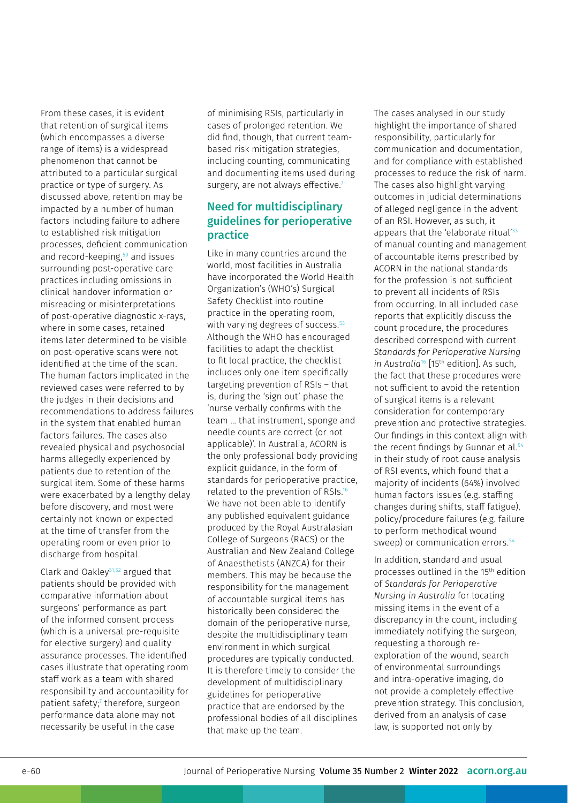From these cases, it is evident that retention of surgical items (which encompasses a diverse range of items) is a widespread phenomenon that cannot be attributed to a particular surgical practice or type of surgery. As discussed above, retention may be impacted by a number of human factors including failure to adhere to established risk mitigation processes, deficient communication and record-keeping,50 and issues surrounding post-operative care practices including omissions in clinical handover information or misreading or misinterpretations of post-operative diagnostic x-rays, where in some cases, retained items later determined to be visible on post-operative scans were not identified at the time of the scan. The human factors implicated in the reviewed cases were referred to by the judges in their decisions and recommendations to address failures in the system that enabled human factors failures. The cases also revealed physical and psychosocial harms allegedly experienced by patients due to retention of the surgical item. Some of these harms were exacerbated by a lengthy delay before discovery, and most were certainly not known or expected at the time of transfer from the operating room or even prior to discharge from hospital.

Clark and Oakley51,52 argued that patients should be provided with comparative information about surgeons' performance as part of the informed consent process (which is a universal pre-requisite for elective surgery) and quality assurance processes. The identified cases illustrate that operating room staff work as a team with shared responsibility and accountability for patient safety;<sup>7</sup> therefore, surgeon performance data alone may not necessarily be useful in the case

of minimising RSIs, particularly in cases of prolonged retention. We did find, though, that current teambased risk mitigation strategies, including counting, communicating and documenting items used during surgery, are not always effective.<sup>7</sup>

### Need for multidisciplinary guidelines for perioperative practice

Like in many countries around the world, most facilities in Australia have incorporated the World Health Organization's (WHO's) Surgical Safety Checklist into routine practice in the operating room, with varying degrees of success.<sup>53</sup> Although the WHO has encouraged facilities to adapt the checklist to fit local practice, the checklist includes only one item specifically targeting prevention of RSIs – that is, during the 'sign out' phase the 'nurse verbally confirms with the team … that instrument, sponge and needle counts are correct (or not applicable)'. In Australia, ACORN is the only professional body providing explicit guidance, in the form of standards for perioperative practice, related to the prevention of RSIs.16 We have not been able to identify any published equivalent guidance produced by the Royal Australasian College of Surgeons (RACS) or the Australian and New Zealand College of Anaesthetists (ANZCA) for their members. This may be because the responsibility for the management of accountable surgical items has historically been considered the domain of the perioperative nurse, despite the multidisciplinary team environment in which surgical procedures are typically conducted. It is therefore timely to consider the development of multidisciplinary guidelines for perioperative practice that are endorsed by the professional bodies of all disciplines that make up the team.

The cases analysed in our study highlight the importance of shared responsibility, particularly for communication and documentation, and for compliance with established processes to reduce the risk of harm. The cases also highlight varying outcomes in judicial determinations of alleged negligence in the advent of an RSI. However, as such, it appears that the 'elaborate ritual'<sup>33</sup> of manual counting and management of accountable items prescribed by ACORN in the national standards for the profession is not sufficient to prevent all incidents of RSIs from occurring. In all included case reports that explicitly discuss the count procedure, the procedures described correspond with current *Standards for Perioperative Nursing in Australia*16 [15th edition]. As such, the fact that these procedures were not sufficient to avoid the retention of surgical items is a relevant consideration for contemporary prevention and protective strategies. Our findings in this context align with the recent findings by Gunnar et al.<sup>5</sup> in their study of root cause analysis of RSI events, which found that a majority of incidents (64%) involved human factors issues (e.g. staffing changes during shifts, staff fatigue), policy/procedure failures (e.g. failure to perform methodical wound sweep) or communication errors.<sup>54</sup>

In addition, standard and usual processes outlined in the 15th edition of *Standards for Perioperative Nursing in Australia* for locating missing items in the event of a discrepancy in the count, including immediately notifying the surgeon, requesting a thorough reexploration of the wound, search of environmental surroundings and intra-operative imaging, do not provide a completely effective prevention strategy. This conclusion, derived from an analysis of case law, is supported not only by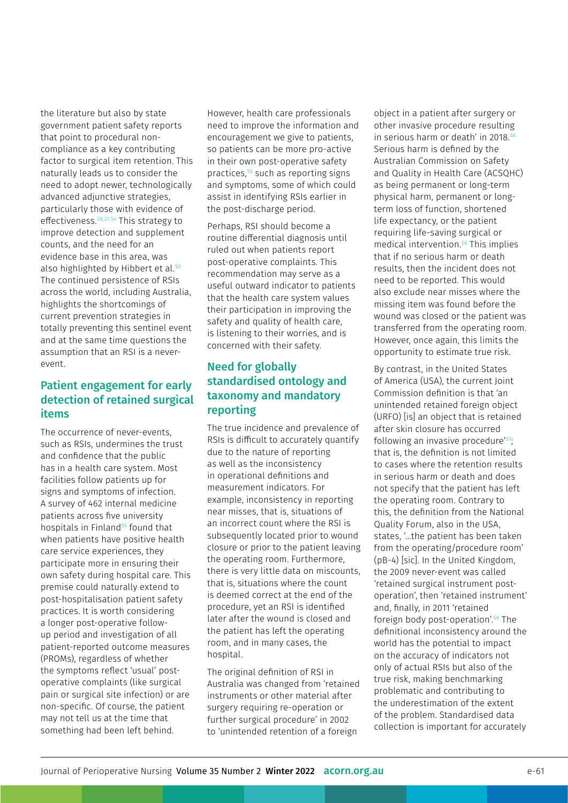the literature but also by state government patient safety reports that point to procedural noncompliance as a key contributing factor to surgical item retention. This naturally leads us to consider the need to adopt newer, technologically advanced adjunctive strategies, particularly those with evidence of effectiveness.20,21,54 This strategy to improve detection and supplement counts, and the need for an evidence base in this area, was also highlighted by Hibbert et al.<sup>50</sup> The continued persistence of RSIs across the world, including Australia, highlights the shortcomings of current prevention strategies in totally preventing this sentinel event and at the same time questions the assumption that an RSI is a neverevent.

### Patient engagement for early detection of retained surgical items

The occurrence of never-events, such as RSIs, undermines the trust and confidence that the public has in a health care system. Most facilities follow patients up for signs and symptoms of infection. A survey of 462 internal medicine patients across five university hospitals in Finland<sup>55</sup> found that when patients have positive health care service experiences, they participate more in ensuring their own safety during hospital care. This premise could naturally extend to post-hospitalisation patient safety practices. It is worth considering a longer post-operative followup period and investigation of all patient-reported outcome measures (PROMs), regardless of whether the symptoms reflect 'usual' postoperative complaints (like surgical pain or surgical site infection) or are non-specific. Of course, the patient may not tell us at the time that something had been left behind.

However, health care professionals need to improve the information and encouragement we give to patients, so patients can be more pro-active in their own post-operative safety practices,55 such as reporting signs and symptoms, some of which could assist in identifying RSIs earlier in the post-discharge period.

Perhaps, RSI should become a routine differential diagnosis until ruled out when patients report post-operative complaints. This recommendation may serve as a useful outward indicator to patients that the health care system values their participation in improving the safety and quality of health care, is listening to their worries, and is concerned with their safety.

### Need for globally standardised ontology and taxonomy and mandatory reporting

The true incidence and prevalence of RSIs is difficult to accurately quantify due to the nature of reporting as well as the inconsistency in operational definitions and measurement indicators. For example, inconsistency in reporting near misses, that is, situations of an incorrect count where the RSI is subsequently located prior to wound closure or prior to the patient leaving the operating room. Furthermore, there is very little data on miscounts, that is, situations where the count is deemed correct at the end of the procedure, yet an RSI is identified later after the wound is closed and the patient has left the operating room, and in many cases, the hospital.

The original definition of RSI in Australia was changed from 'retained instruments or other material after surgery requiring re-operation or further surgical procedure' in 2002 to 'unintended retention of a foreign

object in a patient after surgery or other invasive procedure resulting in serious harm or death' in 2018.<sup>56</sup> Serious harm is defined by the Australian Commission on Safety and Quality in Health Care (ACSQHC) as being permanent or long-term physical harm, permanent or longterm loss of function, shortened life expectancy, or the patient requiring life-saving surgical or medical intervention.56 This implies that if no serious harm or death results, then the incident does not need to be reported. This would also exclude near misses where the missing item was found before the wound was closed or the patient was transferred from the operating room. However, once again, this limits the opportunity to estimate true risk.

By contrast, in the United States of America (USA), the current Joint Commission definition is that 'an unintended retained foreign object (URFO) [is] an object that is retained after skin closure has occurred following an invasive procedure'<sup>57</sup>; that is, the definition is not limited to cases where the retention results in serious harm or death and does not specify that the patient has left the operating room. Contrary to this, the definition from the National Quality Forum, also in the USA, states, '…the patient has been taken from the operating/procedure room' (pB-4) [sic]. In the United Kingdom, the 2009 never-event was called 'retained surgical instrument postoperation', then 'retained instrument' and, finally, in 2011 'retained foreign body post-operation'.<sup>58</sup> The definitional inconsistency around the world has the potential to impact on the accuracy of indicators not only of actual RSIs but also of the true risk, making benchmarking problematic and contributing to the underestimation of the extent of the problem. Standardised data collection is important for accurately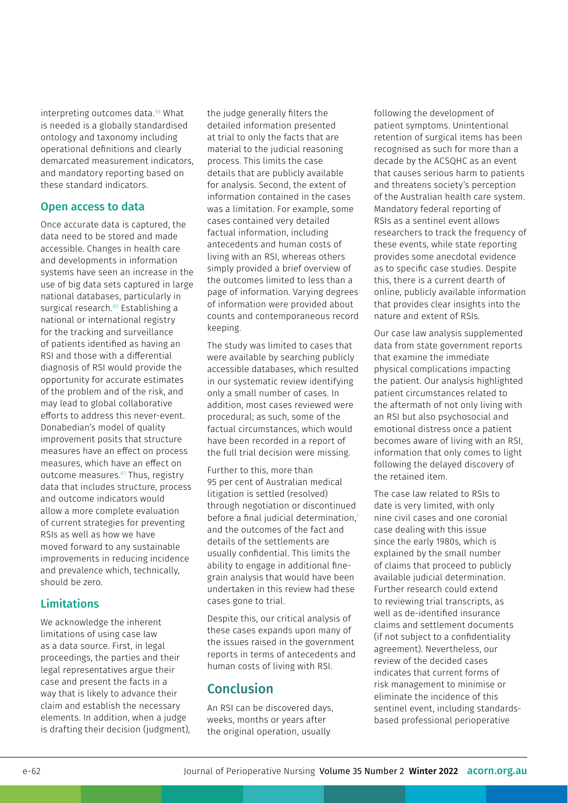interpreting outcomes data.<sup>59</sup> What is needed is a globally standardised ontology and taxonomy including operational definitions and clearly demarcated measurement indicators, and mandatory reporting based on these standard indicators.

#### Open access to data

Once accurate data is captured, the data need to be stored and made accessible. Changes in health care and developments in information systems have seen an increase in the use of big data sets captured in large national databases, particularly in surgical research.<sup>60</sup> Establishing a national or international registry for the tracking and surveillance of patients identified as having an RSI and those with a differential diagnosis of RSI would provide the opportunity for accurate estimates of the problem and of the risk, and may lead to global collaborative efforts to address this never-event. Donabedian's model of quality improvement posits that structure measures have an effect on process measures, which have an effect on outcome measures.<sup>61</sup> Thus, registry data that includes structure, process and outcome indicators would allow a more complete evaluation of current strategies for preventing RSIs as well as how we have moved forward to any sustainable improvements in reducing incidence and prevalence which, technically, should be zero.

### **Limitations**

We acknowledge the inherent limitations of using case law as a data source. First, in legal proceedings, the parties and their legal representatives argue their case and present the facts in a way that is likely to advance their claim and establish the necessary elements. In addition, when a judge is drafting their decision (judgment), the judge generally filters the detailed information presented at trial to only the facts that are material to the judicial reasoning process. This limits the case details that are publicly available for analysis. Second, the extent of information contained in the cases was a limitation. For example, some cases contained very detailed factual information, including antecedents and human costs of living with an RSI, whereas others simply provided a brief overview of the outcomes limited to less than a page of information. Varying degrees of information were provided about counts and contemporaneous record keeping.

The study was limited to cases that were available by searching publicly accessible databases, which resulted in our systematic review identifying only a small number of cases. In addition, most cases reviewed were procedural; as such, some of the factual circumstances, which would have been recorded in a report of the full trial decision were missing.

Further to this, more than 95 per cent of Australian medical litigation is settled (resolved) through negotiation or discontinued before a final judicial determination.<sup>7</sup> and the outcomes of the fact and details of the settlements are usually confidential. This limits the ability to engage in additional finegrain analysis that would have been undertaken in this review had these cases gone to trial.

Despite this, our critical analysis of these cases expands upon many of the issues raised in the government reports in terms of antecedents and human costs of living with RSI.

# Conclusion

An RSI can be discovered days, weeks, months or years after the original operation, usually

following the development of patient symptoms. Unintentional retention of surgical items has been recognised as such for more than a decade by the ACSQHC as an event that causes serious harm to patients and threatens society's perception of the Australian health care system. Mandatory federal reporting of RSIs as a sentinel event allows researchers to track the frequency of these events, while state reporting provides some anecdotal evidence as to specific case studies. Despite this, there is a current dearth of online, publicly available information that provides clear insights into the nature and extent of RSIs.

Our case law analysis supplemented data from state government reports that examine the immediate physical complications impacting the patient. Our analysis highlighted patient circumstances related to the aftermath of not only living with an RSI but also psychosocial and emotional distress once a patient becomes aware of living with an RSI, information that only comes to light following the delayed discovery of the retained item.

The case law related to RSIs to date is very limited, with only nine civil cases and one coronial case dealing with this issue since the early 1980s, which is explained by the small number of claims that proceed to publicly available judicial determination. Further research could extend to reviewing trial transcripts, as well as de-identified insurance claims and settlement documents (if not subject to a confidentiality agreement). Nevertheless, our review of the decided cases indicates that current forms of risk management to minimise or eliminate the incidence of this sentinel event, including standardsbased professional perioperative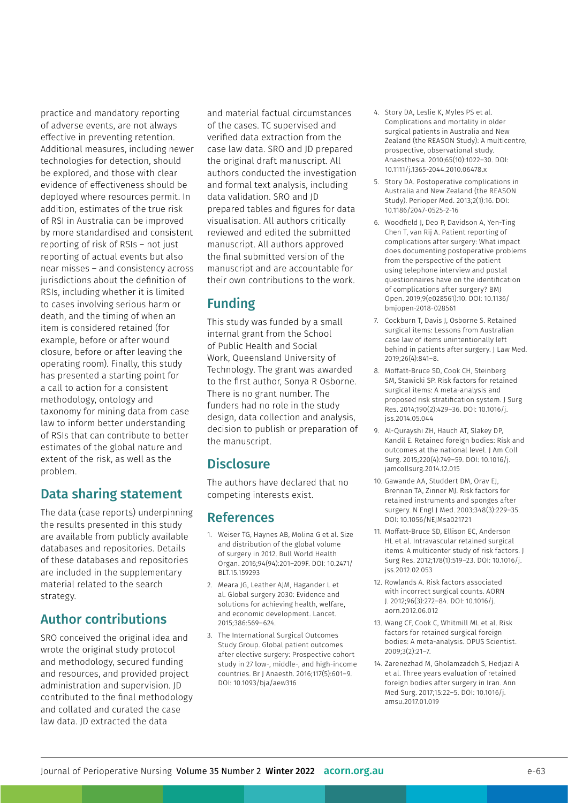practice and mandatory reporting of adverse events, are not always effective in preventing retention. Additional measures, including newer technologies for detection, should be explored, and those with clear evidence of effectiveness should be deployed where resources permit. In addition, estimates of the true risk of RSI in Australia can be improved by more standardised and consistent reporting of risk of RSIs – not just reporting of actual events but also near misses – and consistency across jurisdictions about the definition of RSIs, including whether it is limited to cases involving serious harm or death, and the timing of when an item is considered retained (for example, before or after wound closure, before or after leaving the operating room). Finally, this study has presented a starting point for a call to action for a consistent methodology, ontology and taxonomy for mining data from case law to inform better understanding of RSIs that can contribute to better estimates of the global nature and extent of the risk, as well as the problem.

# Data sharing statement

The data (case reports) underpinning the results presented in this study are available from publicly available databases and repositories. Details of these databases and repositories are included in the supplementary material related to the search strategy.

# Author contributions

SRO conceived the original idea and wrote the original study protocol and methodology, secured funding and resources, and provided project administration and supervision. JD contributed to the final methodology and collated and curated the case law data. JD extracted the data

and material factual circumstances of the cases. TC supervised and verified data extraction from the case law data. SRO and JD prepared the original draft manuscript. All authors conducted the investigation and formal text analysis, including data validation. SRO and JD prepared tables and figures for data visualisation. All authors critically reviewed and edited the submitted manuscript. All authors approved the final submitted version of the manuscript and are accountable for their own contributions to the work.

# Funding

This study was funded by a small internal grant from the School of Public Health and Social Work, Queensland University of Technology. The grant was awarded to the first author, Sonya R Osborne. There is no grant number. The funders had no role in the study design, data collection and analysis, decision to publish or preparation of the manuscript.

# **Disclosure**

The authors have declared that no competing interests exist.

# References

- 1. Weiser TG, Haynes AB, Molina G et al. Size and distribution of the global volume of surgery in 2012. Bull World Health Organ. 2016;94(94):201–209F. DOI: 10.2471/ BLT.15.159293
- 2. Meara JG, Leather AJM, Hagander L et al. Global surgery 2030: Evidence and solutions for achieving health, welfare, and economic development. Lancet. 2015;386:569–624.
- 3. The International Surgical Outcomes Study Group. Global patient outcomes after elective surgery: Prospective cohort study in 27 low-, middle-, and high-income countries. Br J Anaesth. 2016;117(5):601–9. DOI: 10.1093/bja/aew316
- 4. Story DA, Leslie K, Myles PS et al. Complications and mortality in older surgical patients in Australia and New Zealand (the REASON Study): A multicentre, prospective, observational study. Anaesthesia. 2010;65(10):1022–30. DOI: 10.1111/j.1365-2044.2010.06478.x
- 5. Story DA. Postoperative complications in Australia and New Zealand (the REASON Study). Perioper Med. 2013;2(1):16. DOI: 10.1186/2047-0525-2-16
- 6. Woodfield J, Deo P, Davidson A, Yen-Ting Chen T, van Rij A. Patient reporting of complications after surgery: What impact does documenting postoperative problems from the perspective of the patient using telephone interview and postal questionnaires have on the identification of complications after surgery? BMJ Open. 2019;9(e028561):10. DOI: 10.1136/ bmjopen-2018-028561
- 7. Cockburn T, Davis J, Osborne S. Retained surgical items: Lessons from Australian case law of items unintentionally left behind in patients after surgery. J Law Med. 2019;26(4):841–8.
- 8. Moffatt-Bruce SD, Cook CH, Steinberg SM, Stawicki SP. Risk factors for retained surgical items: A meta-analysis and proposed risk stratification system. J Surg Res. 2014;190(2):429–36. DOI: 10.1016/j. jss.2014.05.044
- 9. Al-Qurayshi ZH, Hauch AT, Slakey DP, Kandil E. Retained foreign bodies: Risk and outcomes at the national level. J Am Coll Surg. 2015;220(4):749–59. DOI: 10.1016/j. jamcollsurg.2014.12.015
- 10. Gawande AA, Studdert DM, Orav EJ, Brennan TA, Zinner MJ. Risk factors for retained instruments and sponges after surgery. N Engl J Med. 2003;348(3):229–35. DOI: 10.1056/NEJMsa021721
- 11. Moffatt-Bruce SD, Ellison EC, Anderson HL et al. Intravascular retained surgical items: A multicenter study of risk factors. J Surg Res. 2012;178(1):519–23. DOI: 10.1016/j. jss.2012.02.053
- 12. Rowlands A. Risk factors associated with incorrect surgical counts. AORN J. 2012;96(3):272–84. DOI: 10.1016/j. aorn.2012.06.012
- 13. Wang CF, Cook C, Whitmill ML et al. Risk factors for retained surgical foreign bodies: A meta-analysis. OPUS Scientist. 2009;3(2):21–7.
- 14. Zarenezhad M, Gholamzadeh S, Hedjazi A et al. Three years evaluation of retained foreign bodies after surgery in Iran. Ann Med Surg. 2017;15:22–5. DOI: 10.1016/j. amsu.2017.01.019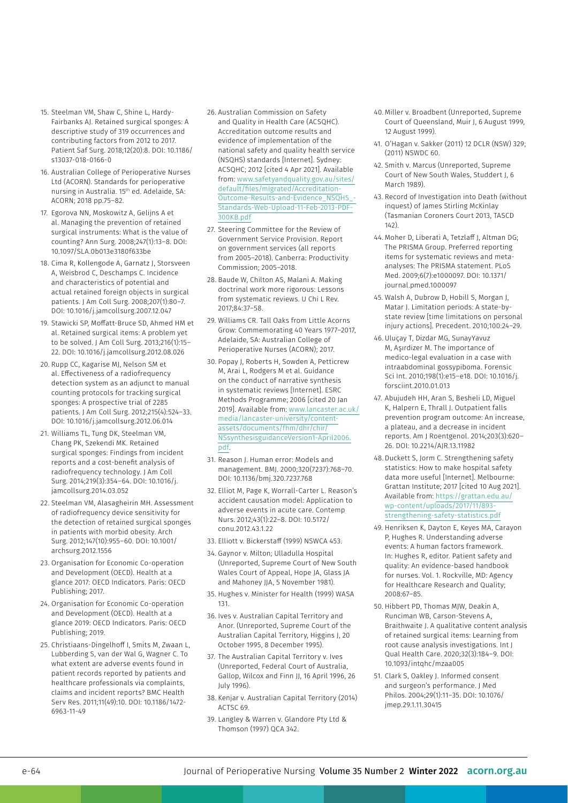- 15. Steelman VM, Shaw C, Shine L, Hardy-Fairbanks AJ. Retained surgical sponges: A descriptive study of 319 occurrences and contributing factors from 2012 to 2017. Patient Saf Surg. 2018;12(20):8. DOI: 10.1186/ s13037-018-0166-0
- 16. Australian College of Perioperative Nurses Ltd (ACORN). Standards for perioperative nursing in Australia. 15th ed. Adelaide, SA: ACORN; 2018 pp.75–82.
- 17. Egorova NN, Moskowitz A, Gelijns A et al. Managing the prevention of retained surgical instruments: What is the value of counting? Ann Surg. 2008;247(1):13–8. DOI: 10.1097/SLA.0b013e3180f633be
- 18. Cima R, Kollengode A, Garnatz J, Storsveen A, Weisbrod C, Deschamps C. Incidence and characteristics of potential and actual retained foreign objects in surgical patients. J Am Coll Surg. 2008;207(1):80–7. DOI: 10.1016/j.jamcollsurg.2007.12.047
- 19. Stawicki SP, Moffatt-Bruce SD, Ahmed HM et al. Retained surgical items: A problem yet to be solved. J Am Coll Surg. 2013;216(1):15– 22. DOI: 10.1016/j.jamcollsurg.2012.08.026
- 20. Rupp CC, Kagarise MJ, Nelson SM et al. Effectiveness of a radiofrequency detection system as an adjunct to manual counting protocols for tracking surgical sponges: A prospective trial of 2285 patients. J Am Coll Surg. 2012;215(4):524–33. DOI: 10.1016/j.jamcollsurg.2012.06.014
- 21. Williams TL, Tung DK, Steelman VM, Chang PK, Szekendi MK. Retained surgical sponges: Findings from incident reports and a cost-benefit analysis of radiofrequency technology. J Am Coll Surg. 2014;219(3):354–64. DOI: 10.1016/j. jamcollsurg.2014.03.052
- 22. Steelman VM, Alasagheirin MH. Assessment of radiofrequency device sensitivity for the detection of retained surgical sponges in patients with morbid obesity. Arch Surg. 2012;147(10):955–60. DOI: 10.1001/ archsurg.2012.1556
- 23. Organisation for Economic Co-operation and Development (OECD). Health at a glance 2017: OECD Indicators. Paris: OECD Publishing; 2017.
- 24. Organisation for Economic Co-operation and Development (OECD). Health at a glance 2019: OECD Indicators. Paris: OECD Publishing; 2019.
- 25. Christiaans-Dingelhoff I, Smits M, Zwaan L, Lubberding S, van der Wal G, Wagner C. To what extent are adverse events found in patient records reported by patients and healthcare professionals via complaints, claims and incident reports? BMC Health Serv Res. 2011;11(49):10. DOI: 10.1186/1472- 6963-11-49
- 26. Australian Commission on Safety and Quality in Health Care (ACSQHC). Accreditation outcome results and evidence of implementation of the national safety and quality health service (NSQHS) standards [Internet]. Sydney: ACSQHC; 2012 [cited 4 Apr 2021]. Available from: [www.safetyandquality.gov.au/sites/](https://www.safetyandquality.gov.au/sites/default/files/migrated/Accreditation-Outcome-Results-and-Evidence_NSQHS_-Standards-Web-Upload-11-Feb-2013-PDF-300KB.pdf) [default/files/migrated/Accreditation-](https://www.safetyandquality.gov.au/sites/default/files/migrated/Accreditation-Outcome-Results-and-Evidence_NSQHS_-Standards-Web-Upload-11-Feb-2013-PDF-300KB.pdf)[Outcome-Results-and-Evidence\\_NSQHS\\_-](https://www.safetyandquality.gov.au/sites/default/files/migrated/Accreditation-Outcome-Results-and-Evidence_NSQHS_-Standards-Web-Upload-11-Feb-2013-PDF-300KB.pdf) [Standards-Web-Upload-11-Feb-2013-PDF-](https://www.safetyandquality.gov.au/sites/default/files/migrated/Accreditation-Outcome-Results-and-Evidence_NSQHS_-Standards-Web-Upload-11-Feb-2013-PDF-300KB.pdf)300KB ndf
- 27. Steering Committee for the Review of Government Service Provision. Report on government services (all reports from 2005–2018). Canberra: Productivity Commission; 2005–2018.
- 28. Baude W, Chilton AS, Malani A. Making doctrinal work more rigorous: Lessons from systematic reviews. U Chi L Rev. 2017;84:37–58.
- 29. Williams CR. Tall Oaks from Little Acorns Grow: Commemorating 40 Years 1977–2017, Adelaide, SA: Australian College of Perioperative Nurses (ACORN); 2017.
- 30. Popay J, Roberts H, Sowden A, Petticrew M, Arai L, Rodgers M et al. Guidance on the conduct of narrative synthesis in systematic reviews [Internet]. ESRC Methods Programme; 2006 [cited 20 Jan 2019]. Available from: [www.lancaster.ac.uk/](https://www.lancaster.ac.uk/media/lancaster-university/content-assets/documents/fhm/dhr/chir/NSsynthesisguidanceVersion1-April2006.pdf) [media/lancaster-university/content](https://www.lancaster.ac.uk/media/lancaster-university/content-assets/documents/fhm/dhr/chir/NSsynthesisguidanceVersion1-April2006.pdf)[assets/documents/fhm/dhr/chir/](https://www.lancaster.ac.uk/media/lancaster-university/content-assets/documents/fhm/dhr/chir/NSsynthesisguidanceVersion1-April2006.pdf) [NSsynthesisguidanceVersion1-April2006.](https://www.lancaster.ac.uk/media/lancaster-university/content-assets/documents/fhm/dhr/chir/NSsynthesisguidanceVersion1-April2006.pdf) [pdf](https://www.lancaster.ac.uk/media/lancaster-university/content-assets/documents/fhm/dhr/chir/NSsynthesisguidanceVersion1-April2006.pdf).
- 31. Reason J. Human error: Models and management. BMJ. 2000;320(7237):768–70. DOI: 10.1136/bmj.320.7237.768
- 32. Elliot M, Page K, Worrall-Carter L. Reason's accident causation model: Application to adverse events in acute care. Contemp Nurs. 2012;43(1):22–8. DOI: 10.5172/ conu.2012.43.1.22
- 33. Elliott v. Bickerstaff (1999) NSWCA 453.
- 34. Gaynor v. Milton; Ulladulla Hospital (Unreported, Supreme Court of New South Wales Court of Appeal, Hope JA, Glass JA and Mahoney JJA, 5 November 1981).
- 35. Hughes v. Minister for Health (1999) WASA 131.
- 36. Ives v. Australian Capital Territory and Anor. (Unreported, Supreme Court of the Australian Capital Territory, Higgins J, 20 October 1995, 8 December 1995).
- 37. The Australian Capital Territory v. Ives (Unreported, Federal Court of Australia, Gallop, Wilcox and Finn JJ, 16 April 1996, 26 July 1996).
- 38. Kenjar v. Australian Capital Territory (2014) ACTSC 69.
- 39. Langley & Warren v. Glandore Pty Ltd & Thomson (1997) QCA 342.
- 40. Miller v. Broadbent (Unreported, Supreme Court of Queensland, Muir J, 6 August 1999, 12 August 1999).
- 41. O'Hagan v. Sakker (2011) 12 DCLR (NSW) 329; (2011) NSWDC 60.
- 42. Smith v. Marcus (Unreported, Supreme Court of New South Wales, Studdert J, 6 March 1989).
- 43. Record of Investigation into Death (without inquest) of James Stirling McKinlay (Tasmanian Coroners Court 2013, TASCD 142).
- 44. Moher D, Liberati A, Tetzlaff J, Altman DG; The PRISMA Group. Preferred reporting items for systematic reviews and metaanalyses: The PRISMA statement. PLoS Med. 2009;6(7):e1000097. DOI: 10.1371/ journal.pmed.1000097
- 45. Walsh A, Dubrow D, Hobill S, Morgan J, Matar J. Limitation periods: A state-bystate review [time limitations on personal injury actions]. Precedent. 2010;100:24–29.
- 46. Uluçay T, Dizdar MG, SunayYavuz M, Aşırdizer M. The importance of medico-legal evaluation in a case with intraabdominal gossypiboma. Forensic Sci Int. 2010;198(1):e15–e18. DOI: 10.1016/j. forsciint.2010.01.013
- 47. Abujudeh HH, Aran S, Besheli LD, Miguel K, Halpern E, Thrall J. Outpatient falls prevention program outcome: An increase, a plateau, and a decrease in incident reports. Am J Roentgenol. 2014;203(3):620– 26. DOI: 10.2214/AJR.13.11982
- 48. Duckett S, Jorm C. Strengthening safety statistics: How to make hospital safety data more useful [Internet]. Melbourne: Grattan Institute; 2017 [cited 10 Aug 2021]. Available from: [https://grattan.edu.au/](https://grattan.edu.au/wp-content/uploads/2017/11/893-strengthening-safety-statistics.pdf) [wp-content/uploads/2017/11/893](https://grattan.edu.au/wp-content/uploads/2017/11/893-strengthening-safety-statistics.pdf) [strengthening-safety-statistics.pdf](https://grattan.edu.au/wp-content/uploads/2017/11/893-strengthening-safety-statistics.pdf)
- 49. Henriksen K, Dayton E, Keyes MA, Carayon P, Hughes R. Understanding adverse events: A human factors framework. In: Hughes R, editor. Patient safety and quality: An evidence-based handbook for nurses. Vol. 1. Rockville, MD: Agency for Healthcare Research and Quality; 2008:67–85.
- 50. Hibbert PD, Thomas MJW, Deakin A, Runciman WB, Carson-Stevens A, Braithwaite J. A qualitative content analysis of retained surgical items: Learning from root cause analysis investigations. Int J Qual Health Care. 2020;32(3):184–9. DOI: 10.1093/intqhc/mzaa005
- 51. Clark S, Oakley J. Informed consent and surgeon's performance. J Med Philos. 2004;29(1):11–35. DOI: 10.1076/ jmep.29.1.11.30415